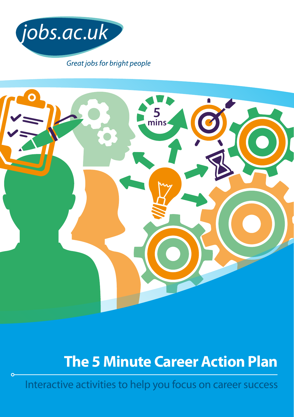



# **The 5 Minute Career Action Plan**

Interactive activities to help you focus on career success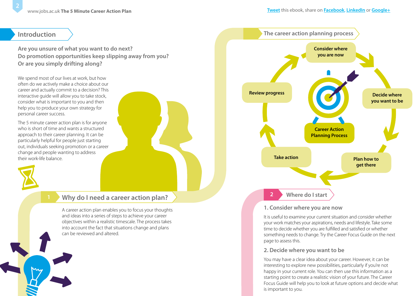### **Introduction**

**Are you unsure of what you want to do next? Do promotion opportunities keep slipping away from you? Or are you simply drifting along?** 

We spend most of our lives at work, but how often do we actively make a choice about our career and actually commit to a decision? This interactive guide will allow you to take stock, consider what is important to you and then help you to produce your own strategy for personal career success.

The 5 minute career action plan is for anyone who is short of time and wants a structured approach to their career planning. It can be particularly helpful for people just starting out, individuals seeking promotion or a career change and people wanting to address their work-life balance.



## **Why do I need a career action plan? <sup>1</sup> <sup>2</sup>**

A career action plan enables you to focus your thoughts and ideas into a series of steps to achieve your career objectives within a realistic timescale. The process takes into account the fact that situations change and plans can be reviewed and altered.



### **1. Consider where you are now**

It is useful to examine your current situation and consider whether your work matches your aspirations, needs and lifestyle. Take some time to decide whether you are fulfilled and satisfied or whether something needs to change. Try the Career Focus Guide on the next page to assess this.

### **2. Decide where you want to be**

You may have a clear idea about your career. However, it can be interesting to explore new possibilities, particularly if you're not happy in your current role. You can then use this information as a starting point to create a realistic vision of your future. The Career Focus Guide will help you to look at future options and decide what is important to you.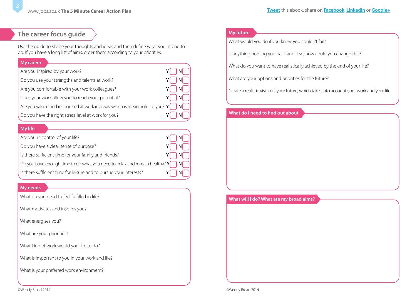### **The career focus guide**

Use the guide to shape your thoughts and ideas and then define what you intend to do. If you have a long list of aims, order them according to your priorities.

### **My career**

Are you inspired by your work? **Y** N

Do you use your strengths and talents at work?  $Y \cap N$ 

Are you comfortable with your work colleagues? **Y** N

Does your work allow you to reach your potential?  $Y \cap N$ 

Are you valued and recognised at work in a way which is meaningful to you?  $Y \cap N$ 

Do you have the right stress level at work for you?  $Y \cap N$ 

### **My life**

| Are you in control of your life?                                                    |  |
|-------------------------------------------------------------------------------------|--|
| Do you have a clear sense of purpose?                                               |  |
| Is there sufficient time for your family and friends?                               |  |
| Do you have enough time to do what you need to relax and remain healthy? $Y \cap N$ |  |
| Is there sufficient time for leisure and to pursue your interests?                  |  |

### **My needs**

What do you need to feel fulfilled in life?

What motivates and inspires you?

What energises you?

What are your priorities?

What kind of work would you like to do?

What is important to you in your work and life?

What is your preferred work environment?

### **My future**

What would you do if you knew you couldn't fail?

Is anything holding you back and if so, how could you change this?

What do you want to have realistically achieved by the end of your life?

What are your options and priorities for the future?

Create a realistic vision of your future, which takes into account your work and your life

### **What do I need to find out about**

#### **What will I do? What are my broad aims?**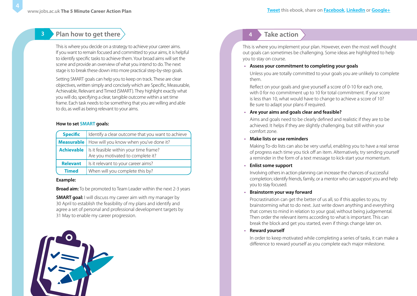**3**

### **Plan how to get there**

This is where you decide on a strategy to achieve your career aims. If you want to remain focused and committed to your aims, it is helpful to identify specific tasks to achieve them. Your broad aims will set the scene and provide an overview of what you intend to do. The next stage is to break these down into more practical step-by-step goals.

Setting SMART goals can help you to keep on track. These are clear objectives, written simply and concisely which are Specific, Measurable, Achievable, Relevant and Timed (SMART). They highlight exactly what you will do, specifying a clear, tangible outcome within a set time frame. Each task needs to be something that you are willing and able to do, as well as being relevant to your aims.

#### **How to set SMART goals:**

| <b>Specific</b> | I Identify a clear outcome that you want to achieve                                             |
|-----------------|-------------------------------------------------------------------------------------------------|
|                 | <b>Measurable</b>   How will you know when you've done it?                                      |
|                 | <b>Achievable</b>   Is it feasible within your time frame?<br>Are you motivated to complete it? |
| <b>Relevant</b> | Is it relevant to your career aims?                                                             |
| <b>Timed</b>    | When will you complete this by?                                                                 |

#### **Example:**

**Broad aim:** To be promoted to Team Leader within the next 2-3 years

**SMART goal:** I will discuss my career aim with my manager by 30 April to establish the feasibility of my plans and identify and agree a set of personal and professional development targets by 31 May to enable my career progression.



### **4 Take action**

This is where you implement your plan. However, even the most well thought out goals can sometimes be challenging. Some ideas are highlighted to help you to stay on course.

**• Assess your commitment to completing your goals**

Unless you are totally committed to your goals you are unlikely to complete them.

Reflect on your goals and give yourself a score of 0-10 for each one, with 0 for no commitment up to 10 for total commitment. If your score is less than 10, what would have to change to achieve a score of 10? Be sure to adapt your plans if required.

**• Are your aims and goals clear and feasible?**

Aims and goals need to be clearly defined and realistic if they are to be achieved. It helps if they are slightly challenging, but still within your comfort zone.

#### **• Make lists or use reminders**

Making To-do lists can also be very useful, enabling you to have a real sense of progress each time you tick off an item. Alternatively, try sending yourself a reminder in the form of a text message to kick-start your momentum.

#### **• Enlist some support**

Involving others in action planning can increase the chances of successful completion; identify friends, family, or a mentor who can support you and help you to stay focused.

### **• Brainstorm your way forward**

Procrastination can get the better of us all, so if this applies to you, try brainstorming what to do next. Just write down anything and everything that comes to mind in relation to your goal, without being judgemental. Then order the relevant items according to what is important. This can break the block and get you started, even if things change later on.

### **• Reward yourself**

In order to keep motivated while completing a series of tasks, it can make a difference to reward yourself as you complete each major milestone.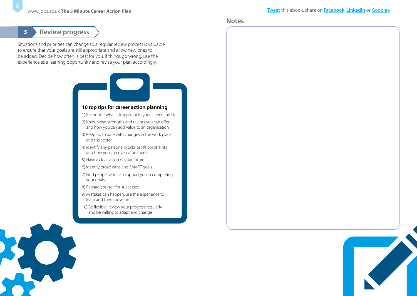#### **Notes**

### **5 Review progress**

Situations and priorities can change so a regular review process is valuable to ensure that your goals are still appropriate and allow new ones to be added. Decide how often is best for you. If things go wrong, use the experience as a learning opportunity and revise your plan accordingly.



- 8) Reward yourself for successes
- 9) Mistakes can happen: use the experience to learn and then move on
- 10) Be flexible, review your progress regularly and be willing to adapt and change



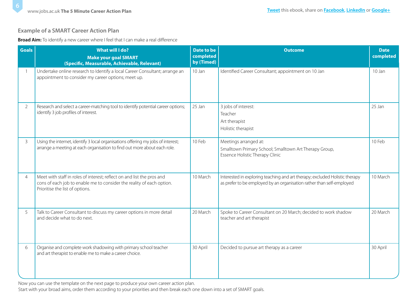### **Example of a SMART Career Action Plan**

**Broad Aim:** To identify a new career where I feel that I can make a real difference

| <b>Goals</b>   | What will I do?<br><b>Make your goal SMART</b><br>(Specific, Measurable, Achievable, Relevant)                                                                                     | <b>Date to be</b><br>completed<br>by (Timed) | <b>Outcome</b>                                                                                                                                       | <b>Date</b><br>completed |
|----------------|------------------------------------------------------------------------------------------------------------------------------------------------------------------------------------|----------------------------------------------|------------------------------------------------------------------------------------------------------------------------------------------------------|--------------------------|
|                | Undertake online research to Identify a local Career Consultant; arrange an<br>appointment to consider my career options; meet up.                                                 | 10 Jan                                       | Identified Career Consultant; appointment on 10 Jan                                                                                                  | 10 Jan                   |
| 2              | Research and select a career-matching tool to identify potential career options;<br>identify 3 job profiles of interest.                                                           | 25 Jan                                       | 3 jobs of interest:<br>Teacher<br>Art therapist<br>Holistic therapist                                                                                | 25 Jan                   |
| $\mathcal{S}$  | Using the internet, identify 3 local organisations offering my jobs of interest;<br>arrange a meeting at each organisation to find out more about each role.                       | 10 Feb                                       | Meetings arranged at:<br>Smalltown Primary School; Smalltown Art Therapy Group,<br>Essence Holistic Therapy Clinic                                   | 10 Feb                   |
| $\overline{4}$ | Meet with staff in roles of interest; reflect on and list the pros and<br>cons of each job to enable me to consider the reality of each option.<br>Prioritise the list of options. | 10 March                                     | Interested in exploring teaching and art therapy; excluded Holistic therapy<br>as prefer to be employed by an organisation rather than self-employed | 10 March                 |
| 5              | Talk to Career Consultant to discuss my career options in more detail<br>and decide what to do next.                                                                               | 20 March                                     | Spoke to Career Consultant on 20 March; decided to work shadow<br>teacher and art therapist                                                          | 20 March                 |
| 6              | Organise and complete work shadowing with primary school teacher<br>and art therapist to enable me to make a career choice.                                                        | 30 April                                     | Decided to pursue art therapy as a career                                                                                                            | 30 April                 |

Now you can use the template on the next page to produce your own career action plan.

Start with your broad aims, order them according to your priorities and then break each one down into a set of SMART goals.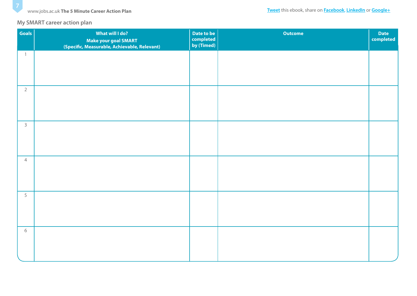### **My SMART career action plan**

| <b>Goals</b>   | What will I do?<br>Make your goal SMART<br>(Specific, Measurable, Achievable, Relevant) | Date to be<br>completed<br>by (Timed) | <b>Outcome</b> | Date<br>completed |
|----------------|-----------------------------------------------------------------------------------------|---------------------------------------|----------------|-------------------|
| $\mathbf{1}$   |                                                                                         |                                       |                |                   |
|                |                                                                                         |                                       |                |                   |
| $\overline{2}$ |                                                                                         |                                       |                |                   |
| $\mathsf{3}$   |                                                                                         |                                       |                |                   |
| $\overline{4}$ |                                                                                         |                                       |                |                   |
| 5              |                                                                                         |                                       |                |                   |
| $\sqrt{6}$     |                                                                                         |                                       |                |                   |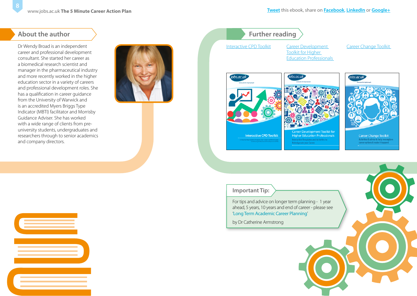### **About the author**

Dr Wendy Broad is an independent career and professional development consultant. She started her career as a biomedical research scientist and manager in the pharmaceutical industry and more recently worked in the higher education sector in a variety of careers and professional development roles. She has a qualification in career guidance from the University of Warwick and is an accredited Myers Briggs Type Indicator (MBTI) facilitator and Morrisby Guidance Adviser. She has worked with a wide range of clients from preuniversity students, undergraduates and researchers through to senior academics and company directors.



### **Further reading**

[Interactive CPD Toolkit](http://www.jobs.ac.uk/careers-advice/resources/ebooks-and-toolkits/interactive-cpd-toolkit) Career Development

Toolkit for Higher

[Career Change Toolkit](http://www.jobs.ac.uk/careers-advice/resources/ebooks-and-toolkits/career-change-toolkit) 





[Education Professionals](http://www.jobs.ac.uk/careers-advice/resources/ebooks-and-toolkits/career-development-toolkit-for-higher-education-professionals) 



### **Important Tip:**

For tips and advice on longer term planning - 1 year ahead, 5 years, 10 years and end of career - please see '[Long Term Academic Career Planning](http://www.jobs.ac.uk/careers-advice/managing-your-career/1231/long-term-academic-career-planning/)'

by Dr Catherine Armstrong